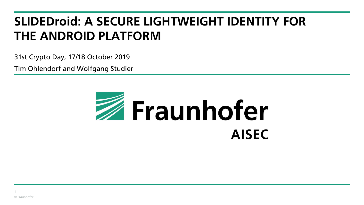# **SLIDEDroid: A SECURE LIGHTWEIGHT IDENTITY FOR THE ANDROID PLATFORM**

31st Crypto Day, 17/18 October 2019

Tim Ohlendorf and Wolfgang Studier

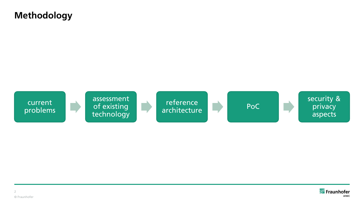# **Methodology**



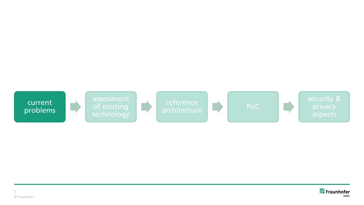

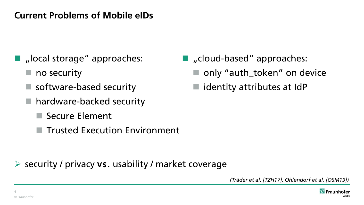# **Current Problems of Mobile eIDs**

- $\blacksquare$  , local storage" approaches:
	- $\blacksquare$  no security
	- software-based security
	- hardware-backed security
		- Secure Element
		- Trusted Execution Environment

 $\triangleright$  security / privacy vs. usability / market coverage

- "cloud-based" approaches:
	- only "auth\_token" on device
	- identity attributes at IdP

*(Träder et al. [TZH17], Ohlendorf et al. [OSM19])*

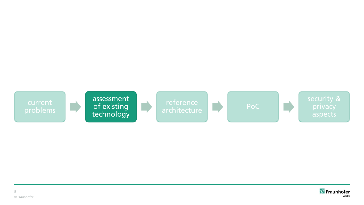

![](_page_4_Picture_1.jpeg)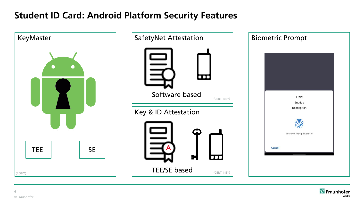# **Student ID Card: Android Platform Security Features**

![](_page_5_Picture_1.jpeg)

![](_page_5_Picture_2.jpeg)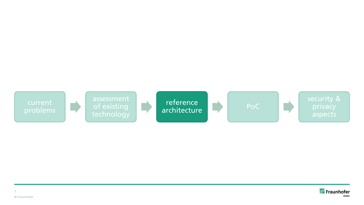![](_page_6_Picture_0.jpeg)

![](_page_6_Picture_1.jpeg)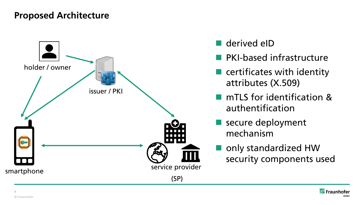# **Proposed Architecture**

![](_page_7_Figure_1.jpeg)

- derived eID
- **PKI-based infrastructure**
- $\blacksquare$  certificates with identity attributes (X.509)
- **nd** mTLS for identification & authentification
- secure deployment mechanism
- only standardized HW security components used

![](_page_7_Picture_8.jpeg)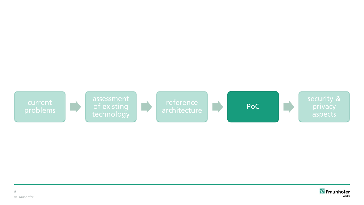![](_page_8_Picture_0.jpeg)

![](_page_8_Picture_1.jpeg)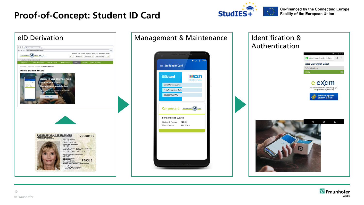# **Proof-of-Concept: Student ID Card**

![](_page_9_Picture_1.jpeg)

**Co-financed by the Connecting Europe** Facility of the European Union

![](_page_9_Picture_3.jpeg)

![](_page_9_Picture_4.jpeg)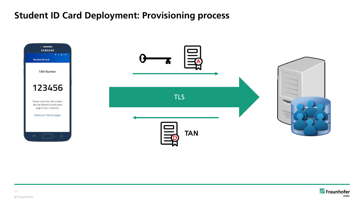# **Student ID Card Deployment: Provisioning process**

![](_page_10_Figure_1.jpeg)

![](_page_10_Picture_2.jpeg)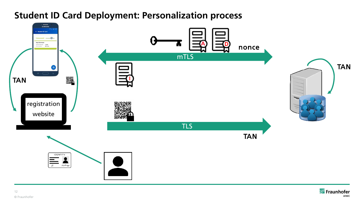![](_page_11_Figure_0.jpeg)

## **Student ID Card Deployment: Personalization process**

![](_page_11_Picture_2.jpeg)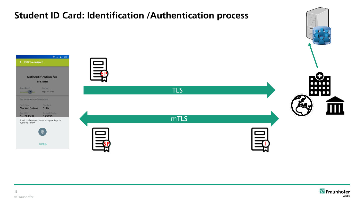![](_page_12_Figure_0.jpeg)

![](_page_12_Picture_1.jpeg)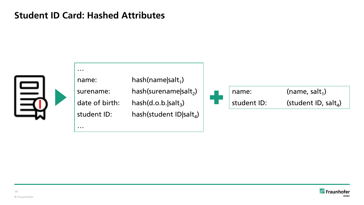## **Student ID Card: Hashed Attributes**

…

…

![](_page_13_Picture_1.jpeg)

name: hash(name|salt<sub>1</sub>) surename: hash(surename|salt<sub>2</sub>) date of birth:  $\qquad$  hash(d.o.b.|salt $_3$ ) student ID:  $\qquad \qquad$  hash(student ID|salt $_4$ )

![](_page_13_Picture_4.jpeg)

![](_page_13_Picture_5.jpeg)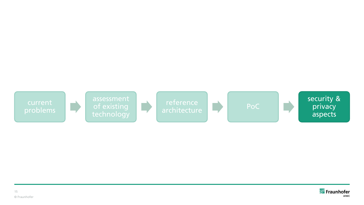![](_page_14_Picture_0.jpeg)

![](_page_14_Picture_1.jpeg)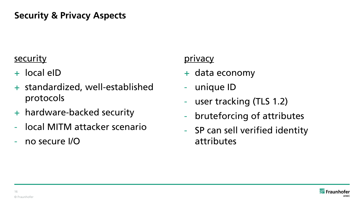# **Security & Privacy Aspects**

# **security**

- + local eID
- + standardized, well-established protocols
- + hardware-backed security
- local MITM attacker scenario
- no secure I/O

### privacy

- + data economy
- unique ID
- user tracking (TLS 1.2)
- bruteforcing of attributes
- SP can sell verified identity attributes

![](_page_15_Picture_13.jpeg)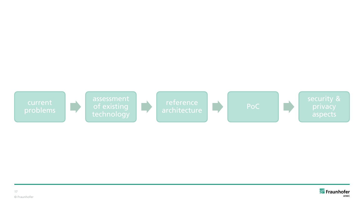![](_page_16_Picture_0.jpeg)

![](_page_16_Picture_1.jpeg)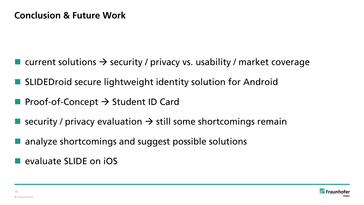- **u** current solutions  $\rightarrow$  security / privacy vs. usability / market coverage
- SLIDEDroid secure lightweight identity solution for Android
- **Proof-of-Concept**  $\rightarrow$  **Student ID Card**
- Security / privacy evaluation  $\rightarrow$  still some shortcomings remain
- analyze shortcomings and suggest possible solutions

**E** evaluate SLIDE on iOS

![](_page_17_Picture_7.jpeg)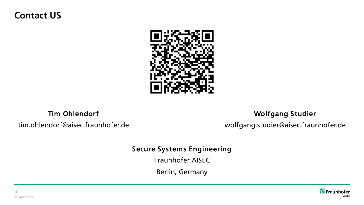## **Contact US**

![](_page_18_Picture_1.jpeg)

Tim Ohlendorf

tim.ohlendorf@aisec.fraunhofer.de

#### Wolfgang Studier

wolfgang.studier@aisec.fraunhofer.de

#### Secure Systems Engineering

Fraunhofer AISEC

Berlin, Germany

![](_page_18_Picture_9.jpeg)